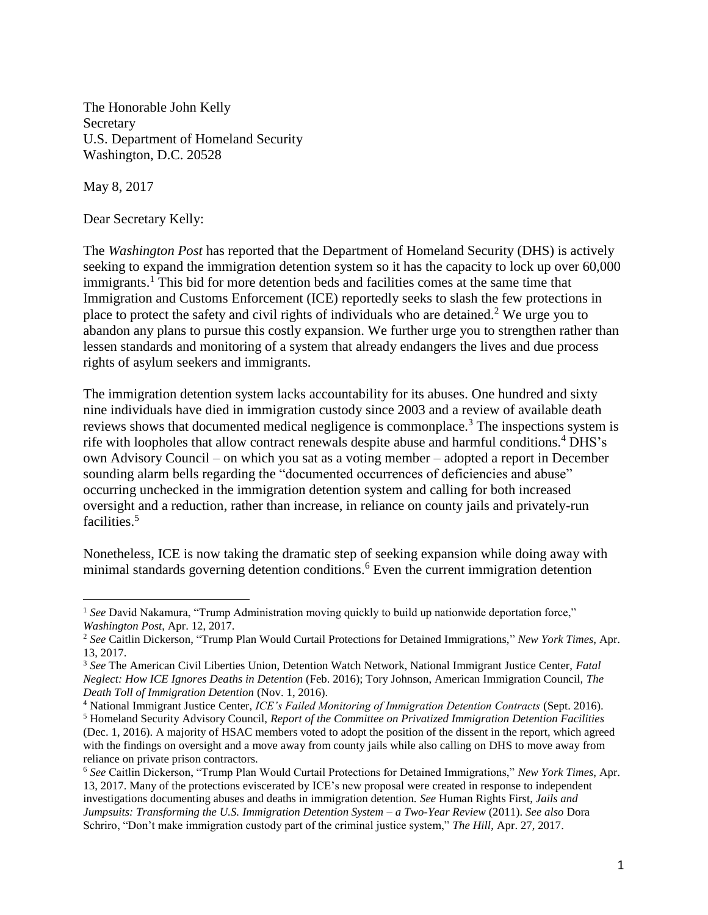The Honorable John Kelly Secretary U.S. Department of Homeland Security Washington, D.C. 20528

May 8, 2017

 $\overline{a}$ 

Dear Secretary Kelly:

The *Washington Post* has reported that the Department of Homeland Security (DHS) is actively seeking to expand the immigration detention system so it has the capacity to lock up over 60,000 immigrants. <sup>1</sup> This bid for more detention beds and facilities comes at the same time that Immigration and Customs Enforcement (ICE) reportedly seeks to slash the few protections in place to protect the safety and civil rights of individuals who are detained.<sup>2</sup> We urge you to abandon any plans to pursue this costly expansion. We further urge you to strengthen rather than lessen standards and monitoring of a system that already endangers the lives and due process rights of asylum seekers and immigrants.

The immigration detention system lacks accountability for its abuses. One hundred and sixty nine individuals have died in immigration custody since 2003 and a review of available death reviews shows that documented medical negligence is commonplace.<sup>3</sup> The inspections system is rife with loopholes that allow contract renewals despite abuse and harmful conditions. <sup>4</sup> DHS's own Advisory Council – on which you sat as a voting member – adopted a report in December sounding alarm bells regarding the "documented occurrences of deficiencies and abuse" occurring unchecked in the immigration detention system and calling for both increased oversight and a reduction, rather than increase, in reliance on county jails and privately-run facilities. 5

Nonetheless, ICE is now taking the dramatic step of seeking expansion while doing away with minimal standards governing detention conditions.<sup>6</sup> Even the current immigration detention

<sup>&</sup>lt;sup>1</sup> See David Nakamura, "Trump Administration moving quickly to build up nationwide deportation force," *Washington Post*, Apr. 12, 2017.

<sup>2</sup> *See* Caitlin Dickerson, "Trump Plan Would Curtail Protections for Detained Immigrations," *New York Times*, Apr. 13, 2017.

<sup>3</sup> *See* The American Civil Liberties Union, Detention Watch Network, National Immigrant Justice Center, *Fatal Neglect: How ICE Ignores Deaths in Detention* (Feb. 2016); Tory Johnson, American Immigration Council, *The Death Toll of Immigration Detention* (Nov. 1, 2016).

<sup>4</sup> National Immigrant Justice Center, *ICE's Failed Monitoring of Immigration Detention Contracts* (Sept. 2016).

<sup>5</sup> Homeland Security Advisory Council, *Report of the Committee on Privatized Immigration Detention Facilities* (Dec. 1, 2016). A majority of HSAC members voted to adopt the position of the dissent in the report, which agreed with the findings on oversight and a move away from county jails while also calling on DHS to move away from reliance on private prison contractors.

<sup>6</sup> *See* Caitlin Dickerson, "Trump Plan Would Curtail Protections for Detained Immigrations," *New York Times*, Apr. 13, 2017. Many of the protections eviscerated by ICE's new proposal were created in response to independent investigations documenting abuses and deaths in immigration detention. *See* Human Rights First, *Jails and Jumpsuits: Transforming the U.S. Immigration Detention System – a Two-Year Review* (2011). *See also* Dora Schriro, "Don't make immigration custody part of the criminal justice system," *The Hill*, Apr. 27, 2017.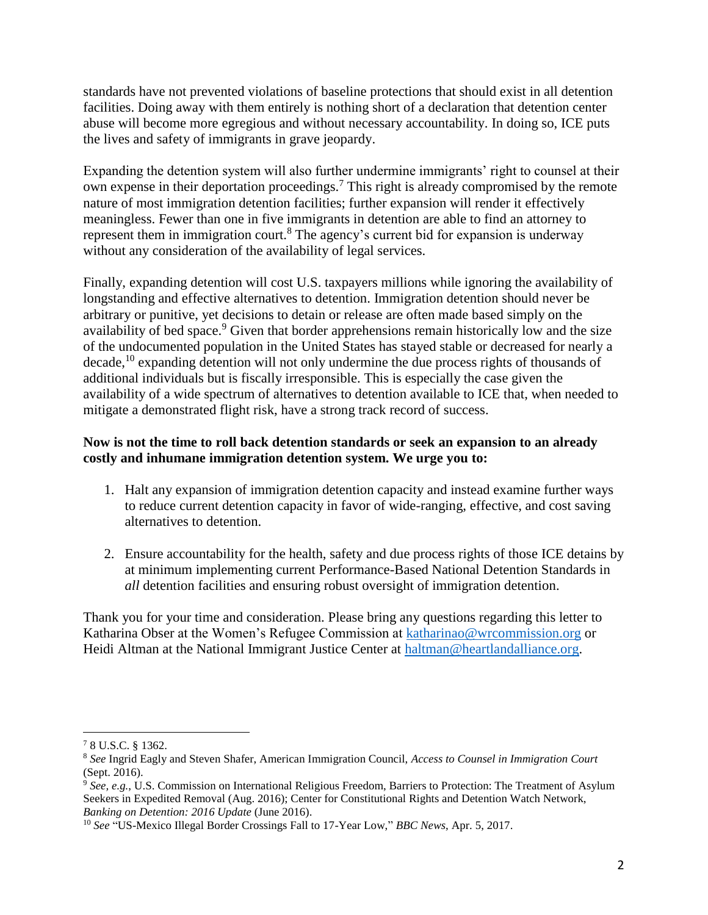standards have not prevented violations of baseline protections that should exist in all detention facilities. Doing away with them entirely is nothing short of a declaration that detention center abuse will become more egregious and without necessary accountability. In doing so, ICE puts the lives and safety of immigrants in grave jeopardy.

Expanding the detention system will also further undermine immigrants' right to counsel at their own expense in their deportation proceedings. <sup>7</sup> This right is already compromised by the remote nature of most immigration detention facilities; further expansion will render it effectively meaningless. Fewer than one in five immigrants in detention are able to find an attorney to represent them in immigration court.<sup>8</sup> The agency's current bid for expansion is underway without any consideration of the availability of legal services.

Finally, expanding detention will cost U.S. taxpayers millions while ignoring the availability of longstanding and effective alternatives to detention. Immigration detention should never be arbitrary or punitive, yet decisions to detain or release are often made based simply on the availability of bed space.<sup>9</sup> Given that border apprehensions remain historically low and the size of the undocumented population in the United States has stayed stable or decreased for nearly a decade,<sup>10</sup> expanding detention will not only undermine the due process rights of thousands of additional individuals but is fiscally irresponsible. This is especially the case given the availability of a wide spectrum of alternatives to detention available to ICE that, when needed to mitigate a demonstrated flight risk, have a strong track record of success.

## **Now is not the time to roll back detention standards or seek an expansion to an already costly and inhumane immigration detention system. We urge you to:**

- 1. Halt any expansion of immigration detention capacity and instead examine further ways to reduce current detention capacity in favor of wide-ranging, effective, and cost saving alternatives to detention.
- 2. Ensure accountability for the health, safety and due process rights of those ICE detains by at minimum implementing current Performance-Based National Detention Standards in *all* detention facilities and ensuring robust oversight of immigration detention.

Thank you for your time and consideration. Please bring any questions regarding this letter to Katharina Obser at the Women's Refugee Commission at [katharinao@wrcommission.org](mailto:katharinao@wrcommission.org) or Heidi Altman at the National Immigrant Justice Center at [haltman@heartlandalliance.org.](mailto:haltman@heartlandalliance.org)

 $\overline{a}$ <sup>7</sup> 8 U.S.C. § 1362.

<sup>8</sup> *See* Ingrid Eagly and Steven Shafer, American Immigration Council, *Access to Counsel in Immigration Court* (Sept. 2016).

<sup>9</sup> *See, e.g.*, U.S. Commission on International Religious Freedom, Barriers to Protection: The Treatment of Asylum Seekers in Expedited Removal (Aug. 2016); Center for Constitutional Rights and Detention Watch Network, *Banking on Detention: 2016 Update* (June 2016).

<sup>10</sup> *See* "US-Mexico Illegal Border Crossings Fall to 17-Year Low," *BBC News*, Apr. 5, 2017.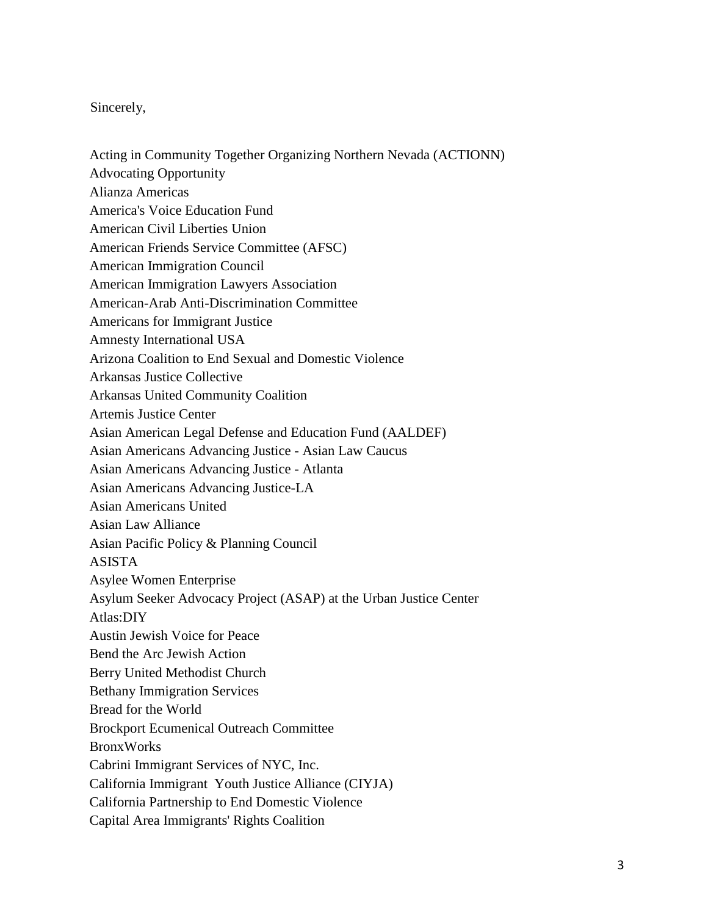## Sincerely,

- Acting in Community Together Organizing Northern Nevada (ACTIONN)
- Advocating Opportunity
- Alianza Americas
- America's Voice Education Fund
- American Civil Liberties Union
- American Friends Service Committee (AFSC)
- American Immigration Council
- American Immigration Lawyers Association
- American-Arab Anti-Discrimination Committee
- Americans for Immigrant Justice
- Amnesty International USA
- Arizona Coalition to End Sexual and Domestic Violence
- Arkansas Justice Collective
- Arkansas United Community Coalition
- Artemis Justice Center
- Asian American Legal Defense and Education Fund (AALDEF)
- Asian Americans Advancing Justice Asian Law Caucus
- Asian Americans Advancing Justice Atlanta
- Asian Americans Advancing Justice-LA
- Asian Americans United
- Asian Law Alliance
- Asian Pacific Policy & Planning Council
- ASISTA
- Asylee Women Enterprise
- Asylum Seeker Advocacy Project (ASAP) at the Urban Justice Center
- Atlas:DIY
- Austin Jewish Voice for Peace
- Bend the Arc Jewish Action
- Berry United Methodist Church
- Bethany Immigration Services
- Bread for the World
- Brockport Ecumenical Outreach Committee
- BronxWorks
- Cabrini Immigrant Services of NYC, Inc.
- California Immigrant Youth Justice Alliance (CIYJA)
- California Partnership to End Domestic Violence
- Capital Area Immigrants' Rights Coalition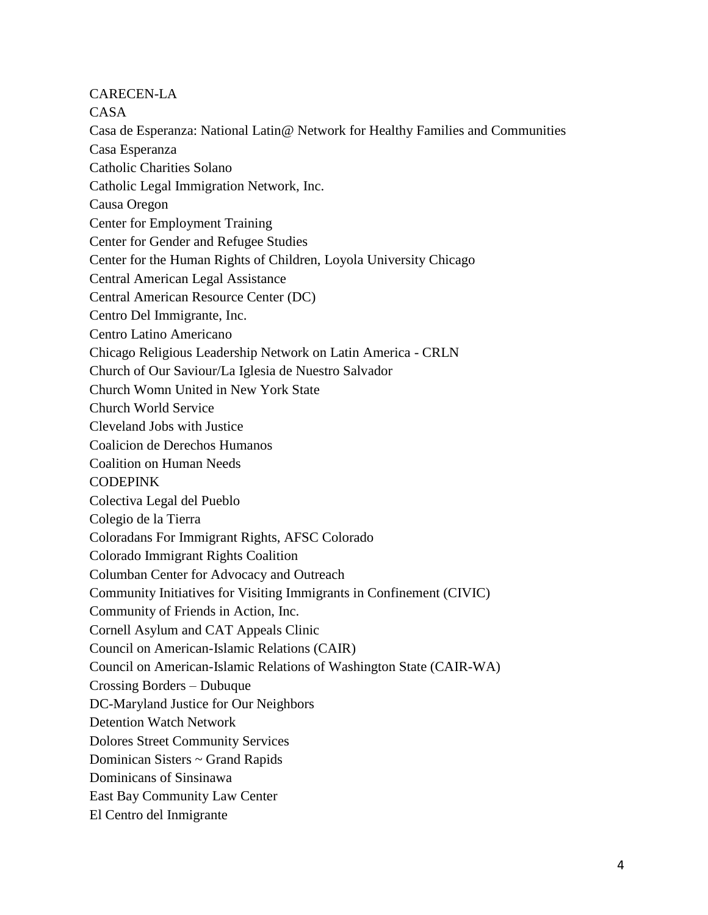CARECEN-LA

CASA

Casa de Esperanza: National Latin@ Network for Healthy Families and Communities Casa Esperanza Catholic Charities Solano Catholic Legal Immigration Network, Inc. Causa Oregon Center for Employment Training Center for Gender and Refugee Studies Center for the Human Rights of Children, Loyola University Chicago Central American Legal Assistance Central American Resource Center (DC) Centro Del Immigrante, Inc. Centro Latino Americano Chicago Religious Leadership Network on Latin America - CRLN Church of Our Saviour/La Iglesia de Nuestro Salvador Church Womn United in New York State Church World Service Cleveland Jobs with Justice Coalicion de Derechos Humanos Coalition on Human Needs CODEPINK Colectiva Legal del Pueblo Colegio de la Tierra Coloradans For Immigrant Rights, AFSC Colorado Colorado Immigrant Rights Coalition Columban Center for Advocacy and Outreach Community Initiatives for Visiting Immigrants in Confinement (CIVIC) Community of Friends in Action, Inc. Cornell Asylum and CAT Appeals Clinic Council on American-Islamic Relations (CAIR) Council on American-Islamic Relations of Washington State (CAIR-WA) Crossing Borders – Dubuque DC-Maryland Justice for Our Neighbors Detention Watch Network Dolores Street Community Services Dominican Sisters ~ Grand Rapids Dominicans of Sinsinawa East Bay Community Law Center El Centro del Inmigrante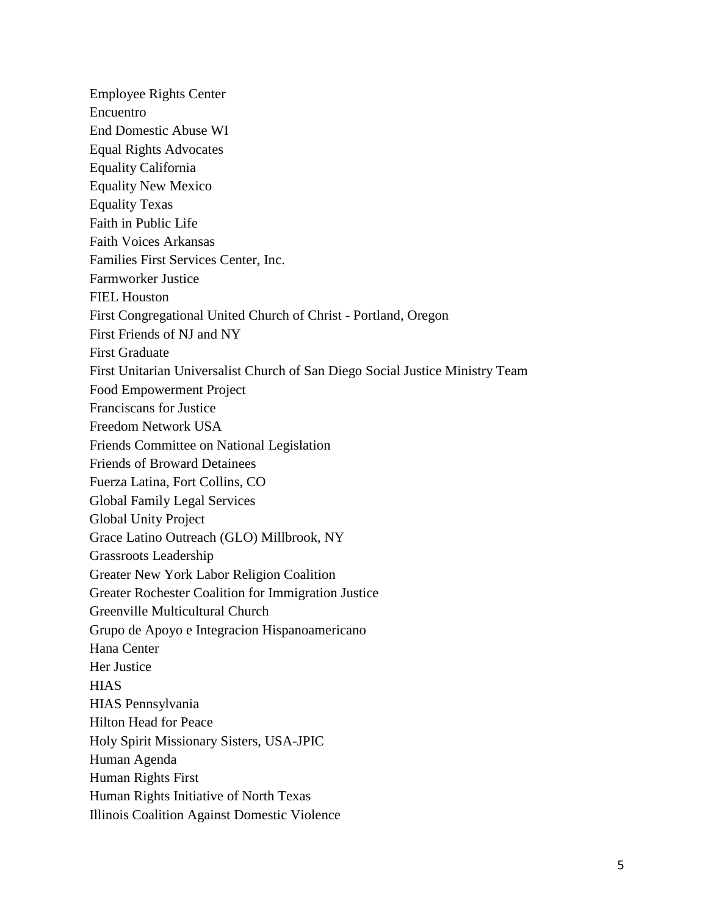Employee Rights Center Encuentro End Domestic Abuse WI Equal Rights Advocates Equality California Equality New Mexico Equality Texas Faith in Public Life Faith Voices Arkansas Families First Services Center, Inc. Farmworker Justice FIEL Houston First Congregational United Church of Christ - Portland, Oregon First Friends of NJ and NY First Graduate First Unitarian Universalist Church of San Diego Social Justice Ministry Team Food Empowerment Project Franciscans for Justice Freedom Network USA Friends Committee on National Legislation Friends of Broward Detainees Fuerza Latina, Fort Collins, CO Global Family Legal Services Global Unity Project Grace Latino Outreach (GLO) Millbrook, NY Grassroots Leadership Greater New York Labor Religion Coalition Greater Rochester Coalition for Immigration Justice Greenville Multicultural Church Grupo de Apoyo e Integracion Hispanoamericano Hana Center Her Justice **HIAS** HIAS Pennsylvania Hilton Head for Peace Holy Spirit Missionary Sisters, USA-JPIC Human Agenda Human Rights First Human Rights Initiative of North Texas Illinois Coalition Against Domestic Violence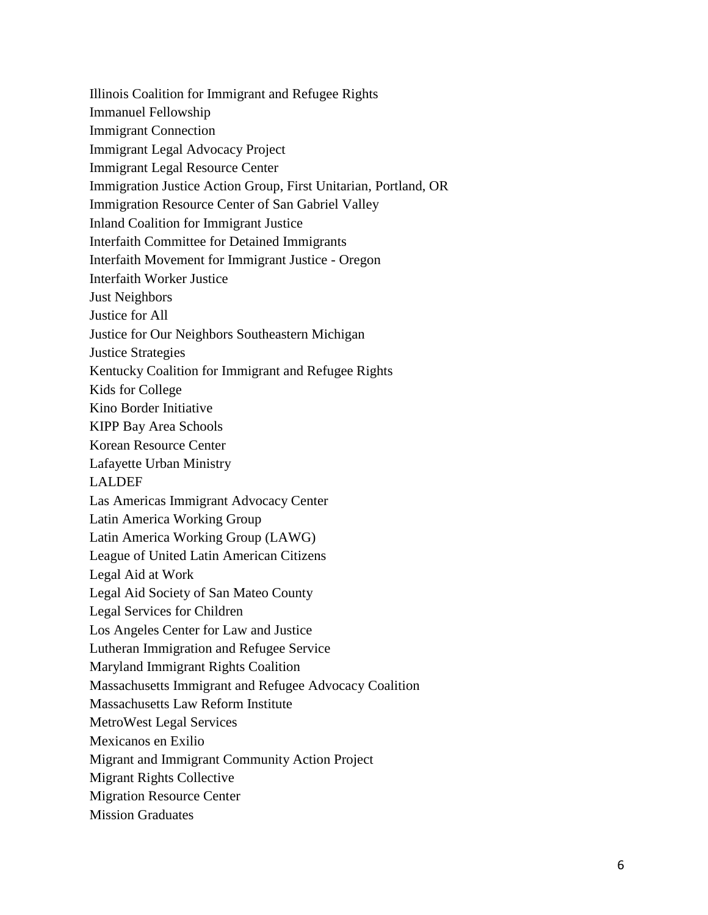Illinois Coalition for Immigrant and Refugee Rights Immanuel Fellowship Immigrant Connection Immigrant Legal Advocacy Project Immigrant Legal Resource Center Immigration Justice Action Group, First Unitarian, Portland, OR Immigration Resource Center of San Gabriel Valley Inland Coalition for Immigrant Justice Interfaith Committee for Detained Immigrants Interfaith Movement for Immigrant Justice - Oregon Interfaith Worker Justice Just Neighbors Justice for All Justice for Our Neighbors Southeastern Michigan Justice Strategies Kentucky Coalition for Immigrant and Refugee Rights Kids for College Kino Border Initiative KIPP Bay Area Schools Korean Resource Center Lafayette Urban Ministry LALDEF Las Americas Immigrant Advocacy Center Latin America Working Group Latin America Working Group (LAWG) League of United Latin American Citizens Legal Aid at Work Legal Aid Society of San Mateo County Legal Services for Children Los Angeles Center for Law and Justice Lutheran Immigration and Refugee Service Maryland Immigrant Rights Coalition Massachusetts Immigrant and Refugee Advocacy Coalition Massachusetts Law Reform Institute MetroWest Legal Services Mexicanos en Exilio Migrant and Immigrant Community Action Project Migrant Rights Collective Migration Resource Center

Mission Graduates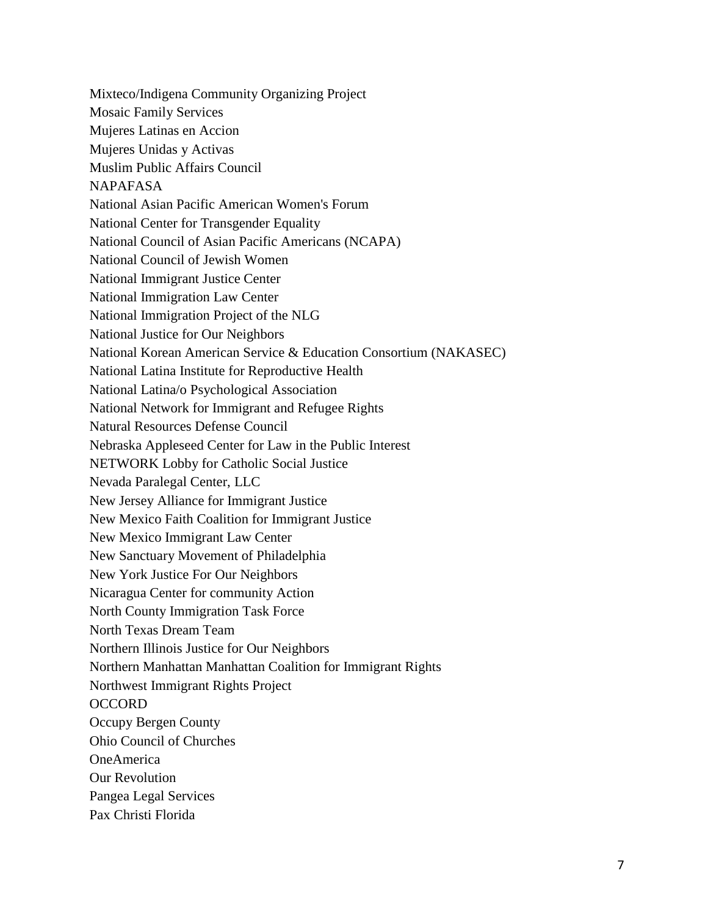Mixteco/Indigena Community Organizing Project Mosaic Family Services Mujeres Latinas en Accion Mujeres Unidas y Activas Muslim Public Affairs Council NAPAFASA National Asian Pacific American Women's Forum National Center for Transgender Equality National Council of Asian Pacific Americans (NCAPA) National Council of Jewish Women National Immigrant Justice Center National Immigration Law Center National Immigration Project of the NLG National Justice for Our Neighbors National Korean American Service & Education Consortium (NAKASEC) National Latina Institute for Reproductive Health National Latina/o Psychological Association National Network for Immigrant and Refugee Rights Natural Resources Defense Council Nebraska Appleseed Center for Law in the Public Interest NETWORK Lobby for Catholic Social Justice Nevada Paralegal Center, LLC New Jersey Alliance for Immigrant Justice New Mexico Faith Coalition for Immigrant Justice New Mexico Immigrant Law Center New Sanctuary Movement of Philadelphia New York Justice For Our Neighbors Nicaragua Center for community Action North County Immigration Task Force North Texas Dream Team Northern Illinois Justice for Our Neighbors Northern Manhattan Manhattan Coalition for Immigrant Rights Northwest Immigrant Rights Project **OCCORD** Occupy Bergen County Ohio Council of Churches OneAmerica Our Revolution Pangea Legal Services Pax Christi Florida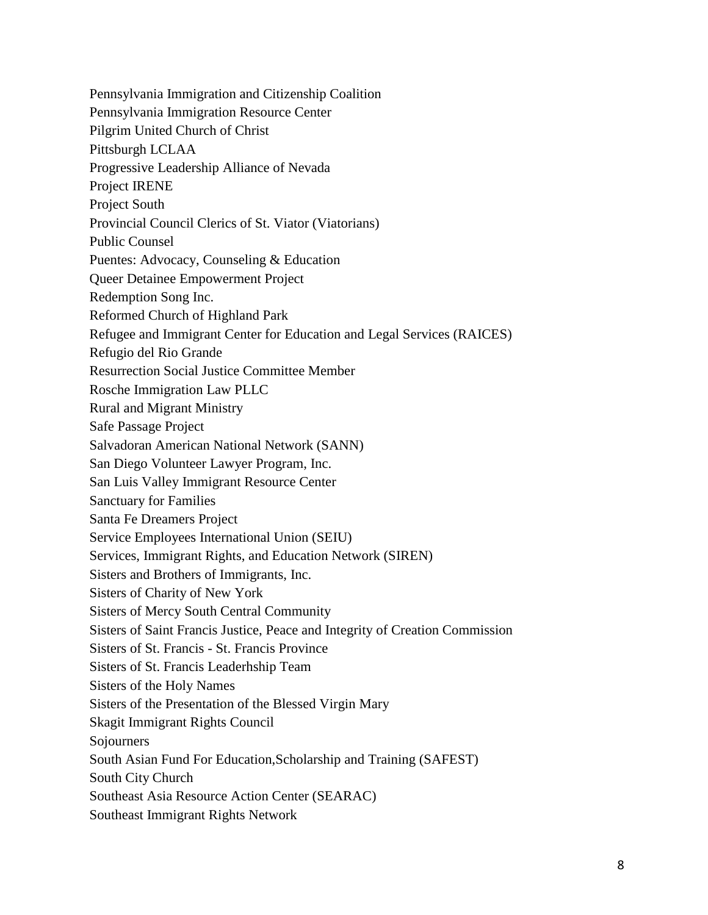Pennsylvania Immigration and Citizenship Coalition Pennsylvania Immigration Resource Center Pilgrim United Church of Christ Pittsburgh LCLAA Progressive Leadership Alliance of Nevada Project IRENE Project South Provincial Council Clerics of St. Viator (Viatorians) Public Counsel Puentes: Advocacy, Counseling & Education Queer Detainee Empowerment Project Redemption Song Inc. Reformed Church of Highland Park Refugee and Immigrant Center for Education and Legal Services (RAICES) Refugio del Rio Grande Resurrection Social Justice Committee Member Rosche Immigration Law PLLC Rural and Migrant Ministry Safe Passage Project Salvadoran American National Network (SANN) San Diego Volunteer Lawyer Program, Inc. San Luis Valley Immigrant Resource Center Sanctuary for Families Santa Fe Dreamers Project Service Employees International Union (SEIU) Services, Immigrant Rights, and Education Network (SIREN) Sisters and Brothers of Immigrants, Inc. Sisters of Charity of New York Sisters of Mercy South Central Community Sisters of Saint Francis Justice, Peace and Integrity of Creation Commission Sisters of St. Francis - St. Francis Province Sisters of St. Francis Leaderhship Team Sisters of the Holy Names Sisters of the Presentation of the Blessed Virgin Mary Skagit Immigrant Rights Council Sojourners South Asian Fund For Education,Scholarship and Training (SAFEST) South City Church Southeast Asia Resource Action Center (SEARAC) Southeast Immigrant Rights Network